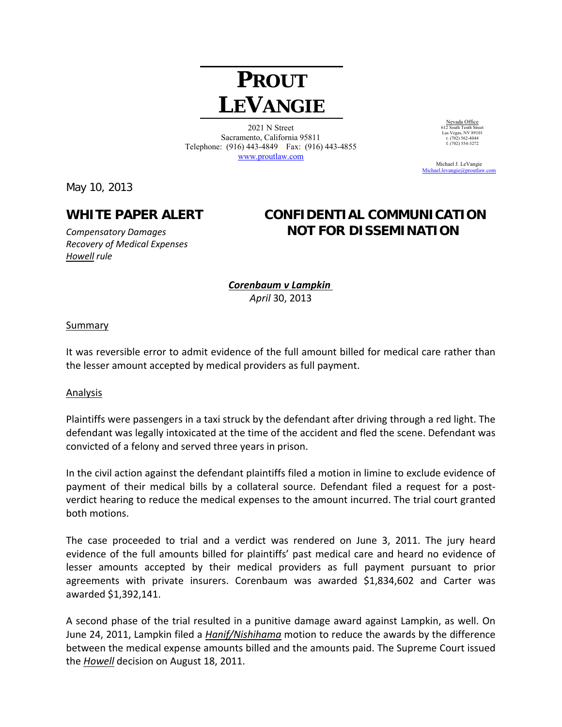# **PROUT LEVANGIE**

2021 N Street Sacramento, California 95811 Telephone: (916) 443-4849 Fax: (916) 443-4855 www.proutlaw.com

May 10, 2013

# *Recovery of Medical Expenses Howell rule*

## **WHITE PAPER ALERT CONFIDENTIAL COMMUNICATION**  *Compensatory Damages* **NOT FOR DISSEMINATION**

*Corenbaum v Lampkin April* 30, 2013

#### Summary

It was reversible error to admit evidence of the full amount billed for medical care rather than the lesser amount accepted by medical providers as full payment.

#### Analysis

Plaintiffs were passengers in a taxi struck by the defendant after driving through a red light. The defendant was legally intoxicated at the time of the accident and fled the scene. Defendant was convicted of a felony and served three years in prison.

In the civil action against the defendant plaintiffs filed a motion in limine to exclude evidence of payment of their medical bills by a collateral source. Defendant filed a request for a post‐ verdict hearing to reduce the medical expenses to the amount incurred. The trial court granted both motions.

The case proceeded to trial and a verdict was rendered on June 3, 2011. The jury heard evidence of the full amounts billed for plaintiffs' past medical care and heard no evidence of lesser amounts accepted by their medical providers as full payment pursuant to prior agreements with private insurers. Corenbaum was awarded \$1,834,602 and Carter was awarded \$1,392,141.

A second phase of the trial resulted in a punitive damage award against Lampkin, as well. On June 24, 2011, Lampkin filed a *Hanif/Nishihama* motion to reduce the awards by the difference between the medical expense amounts billed and the amounts paid. The Supreme Court issued the *Howell* decision on August 18, 2011.

Nevada Office 612 South Tenth Street Las Vegas, NV 89101 t. (702) 562-4044  $f. (702) 554-3272$ 

 Michael J. LeVangie Michael.levangie@proutlaw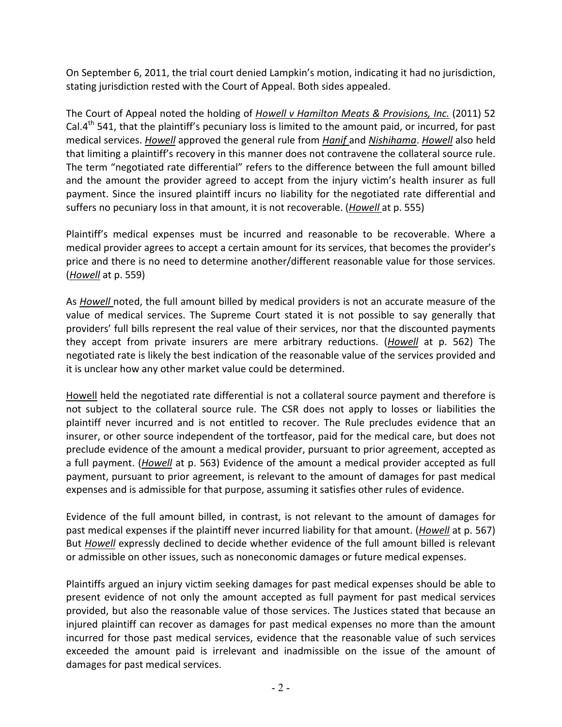On September 6, 2011, the trial court denied Lampkin's motion, indicating it had no jurisdiction, stating jurisdiction rested with the Court of Appeal. Both sides appealed.

The Court of Appeal noted the holding of *Howell v Hamilton Meats & Provisions, Inc.* (2011) 52 Cal. $4<sup>th</sup>$  541, that the plaintiff's pecuniary loss is limited to the amount paid, or incurred, for past medical services. *Howell* approved the general rule from *Hanif* and *Nishihama*. *Howell* also held that limiting a plaintiff's recovery in this manner does not contravene the collateral source rule. The term "negotiated rate differential" refers to the difference between the full amount billed and the amount the provider agreed to accept from the injury victim's health insurer as full payment. Since the insured plaintiff incurs no liability for the negotiated rate differential and suffers no pecuniary loss in that amount, it is not recoverable. (*Howell* at p. 555)

Plaintiff's medical expenses must be incurred and reasonable to be recoverable. Where a medical provider agrees to accept a certain amount for its services, that becomes the provider's price and there is no need to determine another/different reasonable value for those services. (*Howell* at p. 559)

As *Howell* noted, the full amount billed by medical providers is not an accurate measure of the value of medical services. The Supreme Court stated it is not possible to say generally that providers' full bills represent the real value of their services, nor that the discounted payments they accept from private insurers are mere arbitrary reductions. (*Howell* at p. 562) The negotiated rate is likely the best indication of the reasonable value of the services provided and it is unclear how any other market value could be determined.

Howell held the negotiated rate differential is not a collateral source payment and therefore is not subject to the collateral source rule. The CSR does not apply to losses or liabilities the plaintiff never incurred and is not entitled to recover. The Rule precludes evidence that an insurer, or other source independent of the tortfeasor, paid for the medical care, but does not preclude evidence of the amount a medical provider, pursuant to prior agreement, accepted as a full payment. (*Howell* at p. 563) Evidence of the amount a medical provider accepted as full payment, pursuant to prior agreement, is relevant to the amount of damages for past medical expenses and is admissible for that purpose, assuming it satisfies other rules of evidence.

Evidence of the full amount billed, in contrast, is not relevant to the amount of damages for past medical expenses if the plaintiff never incurred liability for that amount. (*Howell* at p. 567) But *Howell* expressly declined to decide whether evidence of the full amount billed is relevant or admissible on other issues, such as noneconomic damages or future medical expenses.

Plaintiffs argued an injury victim seeking damages for past medical expenses should be able to present evidence of not only the amount accepted as full payment for past medical services provided, but also the reasonable value of those services. The Justices stated that because an injured plaintiff can recover as damages for past medical expenses no more than the amount incurred for those past medical services, evidence that the reasonable value of such services exceeded the amount paid is irrelevant and inadmissible on the issue of the amount of damages for past medical services.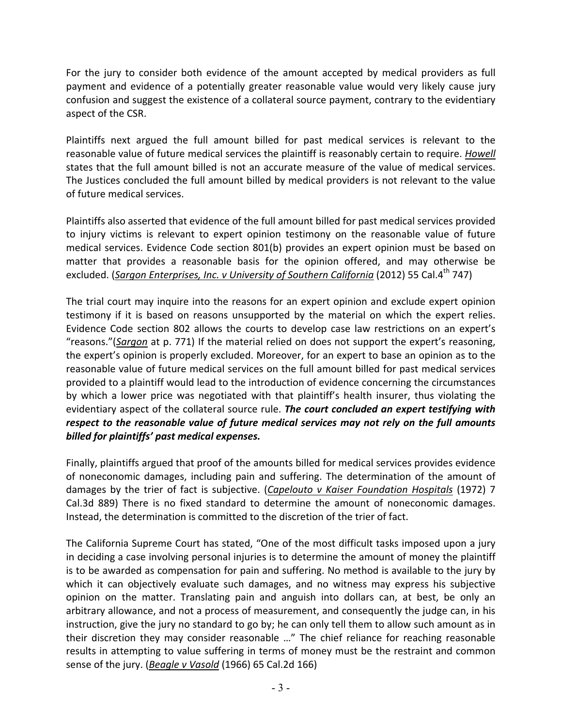For the jury to consider both evidence of the amount accepted by medical providers as full payment and evidence of a potentially greater reasonable value would very likely cause jury confusion and suggest the existence of a collateral source payment, contrary to the evidentiary aspect of the CSR.

Plaintiffs next argued the full amount billed for past medical services is relevant to the reasonable value of future medical services the plaintiff is reasonably certain to require. *Howell* states that the full amount billed is not an accurate measure of the value of medical services. The Justices concluded the full amount billed by medical providers is not relevant to the value of future medical services.

Plaintiffs also asserted that evidence of the full amount billed for past medical services provided to injury victims is relevant to expert opinion testimony on the reasonable value of future medical services. Evidence Code section 801(b) provides an expert opinion must be based on matter that provides a reasonable basis for the opinion offered, and may otherwise be excluded. (*Sargon Enterprises, Inc. v University of Southern California* (2012) 55 Cal.4th 747)

The trial court may inquire into the reasons for an expert opinion and exclude expert opinion testimony if it is based on reasons unsupported by the material on which the expert relies. Evidence Code section 802 allows the courts to develop case law restrictions on an expert's "reasons."(*Sargon* at p. 771) If the material relied on does not support the expert's reasoning, the expert's opinion is properly excluded. Moreover, for an expert to base an opinion as to the reasonable value of future medical services on the full amount billed for past medical services provided to a plaintiff would lead to the introduction of evidence concerning the circumstances by which a lower price was negotiated with that plaintiff's health insurer, thus violating the evidentiary aspect of the collateral source rule. *The court concluded an expert testifying with respect to the reasonable value of future medical services may not rely on the full amounts billed for plaintiffs' past medical expenses.* 

Finally, plaintiffs argued that proof of the amounts billed for medical services provides evidence of noneconomic damages, including pain and suffering. The determination of the amount of damages by the trier of fact is subjective. (*Capelouto v Kaiser Foundation Hospitals* (1972) 7 Cal.3d 889) There is no fixed standard to determine the amount of noneconomic damages. Instead, the determination is committed to the discretion of the trier of fact.

The California Supreme Court has stated, "One of the most difficult tasks imposed upon a jury in deciding a case involving personal injuries is to determine the amount of money the plaintiff is to be awarded as compensation for pain and suffering. No method is available to the jury by which it can objectively evaluate such damages, and no witness may express his subjective opinion on the matter. Translating pain and anguish into dollars can, at best, be only an arbitrary allowance, and not a process of measurement, and consequently the judge can, in his instruction, give the jury no standard to go by; he can only tell them to allow such amount as in their discretion they may consider reasonable …" The chief reliance for reaching reasonable results in attempting to value suffering in terms of money must be the restraint and common sense of the jury. (*Beagle v Vasold* (1966) 65 Cal.2d 166)